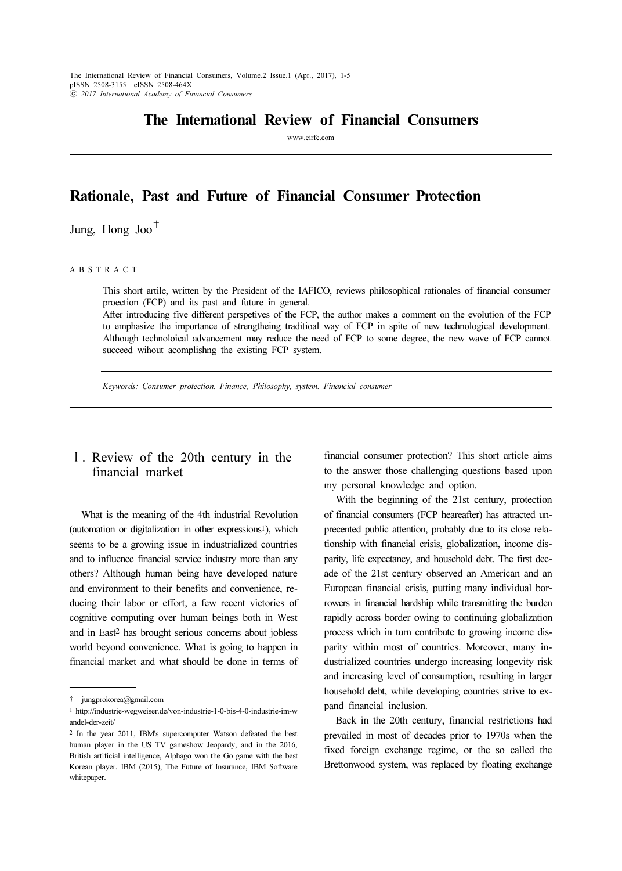The International Review of Financial Consumers, Volume.2 Issue.1 (Apr., 2017), 1-5 pISSN 2508-3155 eISSN 2508-464X ⓒ 2017 International Academy of Financial Consumers

## The International Review of Financial Consumers

www.eirfc.com

# Rationale, Past and Future of Financial Consumer Protection

Jung, Hong Joo<sup> $+$ </sup>

#### A B S T R A C T

This short artile, written by the President of the IAFICO, reviews philosophical rationales of financial consumer proection (FCP) and its past and future in general.

After introducing five different perspetives of the FCP, the author makes a comment on the evolution of the FCP to emphasize the importance of strengtheing traditioal way of FCP in spite of new technological development. Although technoloical advancement may reduce the need of FCP to some degree, the new wave of FCP cannot succeed wihout acomplishng the existing FCP system.

Keywords: Consumer protection. Finance, Philosophy, system. Financial consumer

### Ⅰ. Review of the 20th century in the financial market

What is the meaning of the 4th industrial Revolution (automation or digitalization in other expressions<sup>1</sup>), which seems to be a growing issue in industrialized countries and to influence financial service industry more than any others? Although human being have developed nature and environment to their benefits and convenience, reducing their labor or effort, a few recent victories of cognitive computing over human beings both in West and in East2 has brought serious concerns about jobless world beyond convenience. What is going to happen in financial market and what should be done in terms of

financial consumer protection? This short article aims to the answer those challenging questions based upon my personal knowledge and option.

With the beginning of the 21st century, protection of financial consumers (FCP heareafter) has attracted unprecented public attention, probably due to its close relationship with financial crisis, globalization, income disparity, life expectancy, and household debt. The first decade of the 21st century observed an American and an European financial crisis, putting many individual borrowers in financial hardship while transmitting the burden rapidly across border owing to continuing globalization process which in turn contribute to growing income disparity within most of countries. Moreover, many industrialized countries undergo increasing longevity risk and increasing level of consumption, resulting in larger household debt, while developing countries strive to expand financial inclusion.

Back in the 20th century, financial restrictions had prevailed in most of decades prior to 1970s when the fixed foreign exchange regime, or the so called the Brettonwood system, was replaced by floating exchange

<sup>†</sup> jungprokorea@gmail.com

<sup>1</sup> http://industrie-wegweiser.de/von-industrie-1-0-bis-4-0-industrie-im-w andel-der-zeit/

<sup>2</sup> In the year 2011, IBM's supercomputer Watson defeated the best human player in the US TV gameshow Jeopardy, and in the 2016, British artificial intelligence, Alphago won the Go game with the best Korean player. IBM (2015), The Future of Insurance, IBM Software whitepaper.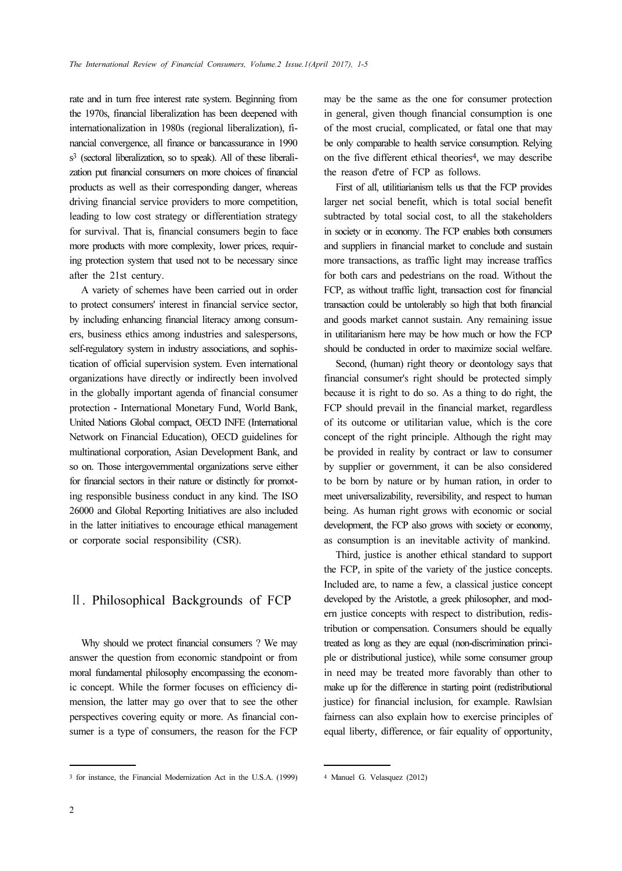rate and in turn free interest rate system. Beginning from the 1970s, financial liberalization has been deepened with internationalization in 1980s (regional liberalization), financial convergence, all finance or bancassurance in 1990 s3 (sectoral liberalization, so to speak). All of these liberalization put financial consumers on more choices of financial products as well as their corresponding danger, whereas driving financial service providers to more competition, leading to low cost strategy or differentiation strategy for survival. That is, financial consumers begin to face more products with more complexity, lower prices, requiring protection system that used not to be necessary since after the 21st century.

A variety of schemes have been carried out in order to protect consumers' interest in financial service sector, by including enhancing financial literacy among consumers, business ethics among industries and salespersons, self-regulatory system in industry associations, and sophistication of official supervision system. Even international organizations have directly or indirectly been involved in the globally important agenda of financial consumer protection - International Monetary Fund, World Bank, United Nations Global compact, OECD INFE (International Network on Financial Education), OECD guidelines for multinational corporation, Asian Development Bank, and so on. Those intergovernmental organizations serve either for financial sectors in their nature or distinctly for promoting responsible business conduct in any kind. The ISO 26000 and Global Reporting Initiatives are also included in the latter initiatives to encourage ethical management or corporate social responsibility (CSR).

#### Ⅱ. Philosophical Backgrounds of FCP

Why should we protect financial consumers ? We may answer the question from economic standpoint or from moral fundamental philosophy encompassing the economic concept. While the former focuses on efficiency dimension, the latter may go over that to see the other perspectives covering equity or more. As financial consumer is a type of consumers, the reason for the FCP

<sup>3</sup> for instance, the Financial Modernization Act in the U.S.A. (1999)

may be the same as the one for consumer protection in general, given though financial consumption is one of the most crucial, complicated, or fatal one that may be only comparable to health service consumption. Relying on the five different ethical theories4, we may describe the reason d'etre of FCP as follows.

First of all, utilitiarianism tells us that the FCP provides larger net social benefit, which is total social benefit subtracted by total social cost, to all the stakeholders in society or in economy. The FCP enables both consumers and suppliers in financial market to conclude and sustain more transactions, as traffic light may increase traffics for both cars and pedestrians on the road. Without the FCP, as without traffic light, transaction cost for financial transaction could be untolerably so high that both financial and goods market cannot sustain. Any remaining issue in utilitarianism here may be how much or how the FCP should be conducted in order to maximize social welfare.

Second, (human) right theory or deontology says that financial consumer's right should be protected simply because it is right to do so. As a thing to do right, the FCP should prevail in the financial market, regardless of its outcome or utilitarian value, which is the core concept of the right principle. Although the right may be provided in reality by contract or law to consumer by supplier or government, it can be also considered to be born by nature or by human ration, in order to meet universalizability, reversibility, and respect to human being. As human right grows with economic or social development, the FCP also grows with society or economy, as consumption is an inevitable activity of mankind.

Third, justice is another ethical standard to support the FCP, in spite of the variety of the justice concepts. Included are, to name a few, a classical justice concept developed by the Aristotle, a greek philosopher, and modern justice concepts with respect to distribution, redistribution or compensation. Consumers should be equally treated as long as they are equal (non-discrimination principle or distributional justice), while some consumer group in need may be treated more favorably than other to make up for the difference in starting point (redistributional justice) for financial inclusion, for example. Rawlsian fairness can also explain how to exercise principles of equal liberty, difference, or fair equality of opportunity,

<sup>4</sup> Manuel G. Velasquez (2012)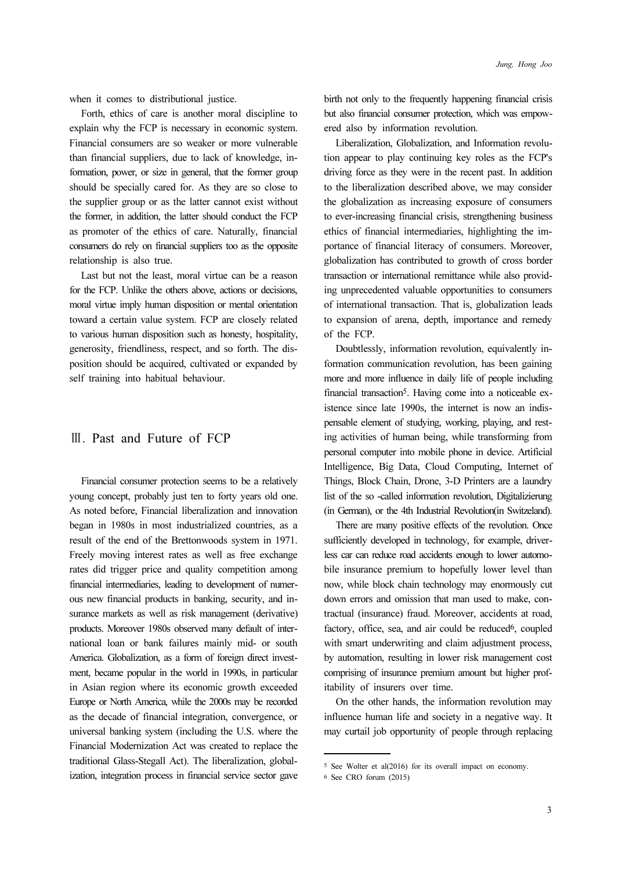when it comes to distributional justice.

Forth, ethics of care is another moral discipline to explain why the FCP is necessary in economic system. Financial consumers are so weaker or more vulnerable than financial suppliers, due to lack of knowledge, information, power, or size in general, that the former group should be specially cared for. As they are so close to the supplier group or as the latter cannot exist without the former, in addition, the latter should conduct the FCP as promoter of the ethics of care. Naturally, financial consumers do rely on financial suppliers too as the opposite relationship is also true.

Last but not the least, moral virtue can be a reason for the FCP. Unlike the others above, actions or decisions, moral virtue imply human disposition or mental orientation toward a certain value system. FCP are closely related to various human disposition such as honesty, hospitality, generosity, friendliness, respect, and so forth. The disposition should be acquired, cultivated or expanded by self training into habitual behaviour.

#### Ⅲ. Past and Future of FCP

Financial consumer protection seems to be a relatively young concept, probably just ten to forty years old one. As noted before, Financial liberalization and innovation began in 1980s in most industrialized countries, as a result of the end of the Brettonwoods system in 1971. Freely moving interest rates as well as free exchange rates did trigger price and quality competition among financial intermediaries, leading to development of numerous new financial products in banking, security, and insurance markets as well as risk management (derivative) products. Moreover 1980s observed many default of international loan or bank failures mainly mid- or south America. Globalization, as a form of foreign direct investment, became popular in the world in 1990s, in particular in Asian region where its economic growth exceeded Europe or North America, while the 2000s may be recorded as the decade of financial integration, convergence, or universal banking system (including the U.S. where the Financial Modernization Act was created to replace the traditional Glass-Stegall Act). The liberalization, globalization, integration process in financial service sector gave birth not only to the frequently happening financial crisis but also financial consumer protection, which was empowered also by information revolution.

Liberalization, Globalization, and Information revolution appear to play continuing key roles as the FCP's driving force as they were in the recent past. In addition to the liberalization described above, we may consider the globalization as increasing exposure of consumers to ever-increasing financial crisis, strengthening business ethics of financial intermediaries, highlighting the importance of financial literacy of consumers. Moreover, globalization has contributed to growth of cross border transaction or international remittance while also providing unprecedented valuable opportunities to consumers of international transaction. That is, globalization leads to expansion of arena, depth, importance and remedy of the FCP.

Doubtlessly, information revolution, equivalently information communication revolution, has been gaining more and more influence in daily life of people including financial transaction5. Having come into a noticeable existence since late 1990s, the internet is now an indispensable element of studying, working, playing, and resting activities of human being, while transforming from personal computer into mobile phone in device. Artificial Intelligence, Big Data, Cloud Computing, Internet of Things, Block Chain, Drone, 3-D Printers are a laundry list of the so -called information revolution, Digitalizierung (in German), or the 4th Industrial Revolution(in Switzeland).

There are many positive effects of the revolution. Once sufficiently developed in technology, for example, driverless car can reduce road accidents enough to lower automobile insurance premium to hopefully lower level than now, while block chain technology may enormously cut down errors and omission that man used to make, contractual (insurance) fraud. Moreover, accidents at road, factory, office, sea, and air could be reduced<sup>6</sup>, coupled with smart underwriting and claim adjustment process, by automation, resulting in lower risk management cost comprising of insurance premium amount but higher profitability of insurers over time.

On the other hands, the information revolution may influence human life and society in a negative way. It may curtail job opportunity of people through replacing

<sup>5</sup> See Wolter et al(2016) for its overall impact on economy.

<sup>6</sup> See CRO forum (2015)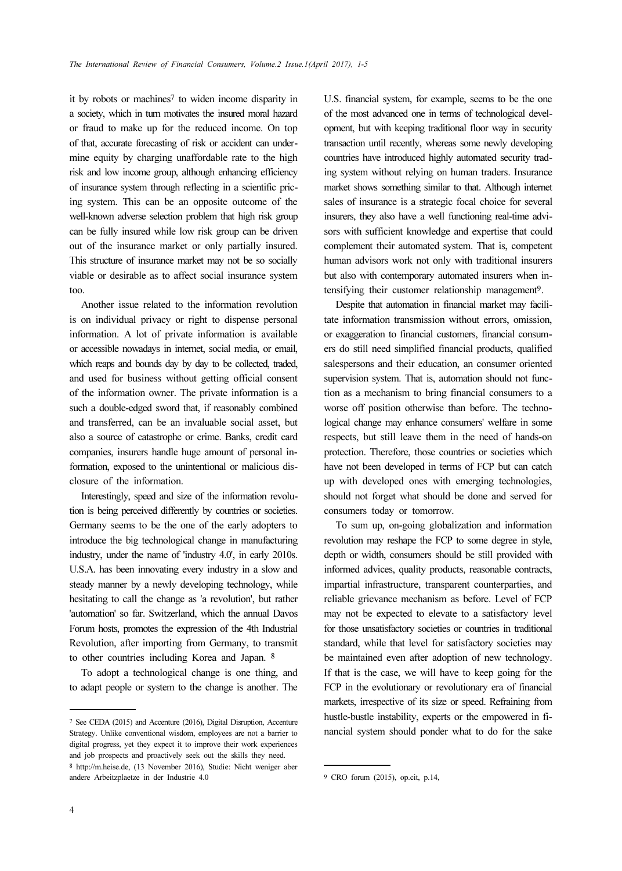it by robots or machines<sup>7</sup> to widen income disparity in a society, which in turn motivates the insured moral hazard or fraud to make up for the reduced income. On top of that, accurate forecasting of risk or accident can undermine equity by charging unaffordable rate to the high risk and low income group, although enhancing efficiency of insurance system through reflecting in a scientific pricing system. This can be an opposite outcome of the well-known adverse selection problem that high risk group can be fully insured while low risk group can be driven out of the insurance market or only partially insured. This structure of insurance market may not be so socially viable or desirable as to affect social insurance system too.

Another issue related to the information revolution is on individual privacy or right to dispense personal information. A lot of private information is available or accessible nowadays in internet, social media, or email, which reaps and bounds day by day to be collected, traded, and used for business without getting official consent of the information owner. The private information is a such a double-edged sword that, if reasonably combined and transferred, can be an invaluable social asset, but also a source of catastrophe or crime. Banks, credit card companies, insurers handle huge amount of personal information, exposed to the unintentional or malicious disclosure of the information.

Interestingly, speed and size of the information revolution is being perceived differently by countries or societies. Germany seems to be the one of the early adopters to introduce the big technological change in manufacturing industry, under the name of 'industry 4.0', in early 2010s. U.S.A. has been innovating every industry in a slow and steady manner by a newly developing technology, while hesitating to call the change as 'a revolution', but rather 'automation' so far. Switzerland, which the annual Davos Forum hosts, promotes the expression of the 4th Industrial Revolution, after importing from Germany, to transmit to other countries including Korea and Japan. <sup>8</sup>

To adopt a technological change is one thing, and to adapt people or system to the change is another. The

U.S. financial system, for example, seems to be the one of the most advanced one in terms of technological development, but with keeping traditional floor way in security transaction until recently, whereas some newly developing countries have introduced highly automated security trading system without relying on human traders. Insurance market shows something similar to that. Although internet sales of insurance is a strategic focal choice for several insurers, they also have a well functioning real-time advisors with sufficient knowledge and expertise that could complement their automated system. That is, competent human advisors work not only with traditional insurers but also with contemporary automated insurers when intensifying their customer relationship management9.

Despite that automation in financial market may facilitate information transmission without errors, omission, or exaggeration to financial customers, financial consumers do still need simplified financial products, qualified salespersons and their education, an consumer oriented supervision system. That is, automation should not function as a mechanism to bring financial consumers to a worse off position otherwise than before. The technological change may enhance consumers' welfare in some respects, but still leave them in the need of hands-on protection. Therefore, those countries or societies which have not been developed in terms of FCP but can catch up with developed ones with emerging technologies, should not forget what should be done and served for consumers today or tomorrow.

To sum up, on-going globalization and information revolution may reshape the FCP to some degree in style, depth or width, consumers should be still provided with informed advices, quality products, reasonable contracts, impartial infrastructure, transparent counterparties, and reliable grievance mechanism as before. Level of FCP may not be expected to elevate to a satisfactory level for those unsatisfactory societies or countries in traditional standard, while that level for satisfactory societies may be maintained even after adoption of new technology. If that is the case, we will have to keep going for the FCP in the evolutionary or revolutionary era of financial markets, irrespective of its size or speed. Refraining from hustle-bustle instability, experts or the empowered in financial system should ponder what to do for the sake

<sup>7</sup> See CEDA (2015) and Accenture (2016), Digital Disruption, Accenture Strategy. Unlike conventional wisdom, employees are not a barrier to digital progress, yet they expect it to improve their work experiences and job prospects and proactively seek out the skills they need. <sup>8</sup> http://m.heise.de, (13 November 2016), Studie: Nicht weniger aber andere Arbeitzplaetze in der Industrie 4.0

<sup>9</sup> CRO forum (2015), op.cit, p.14,